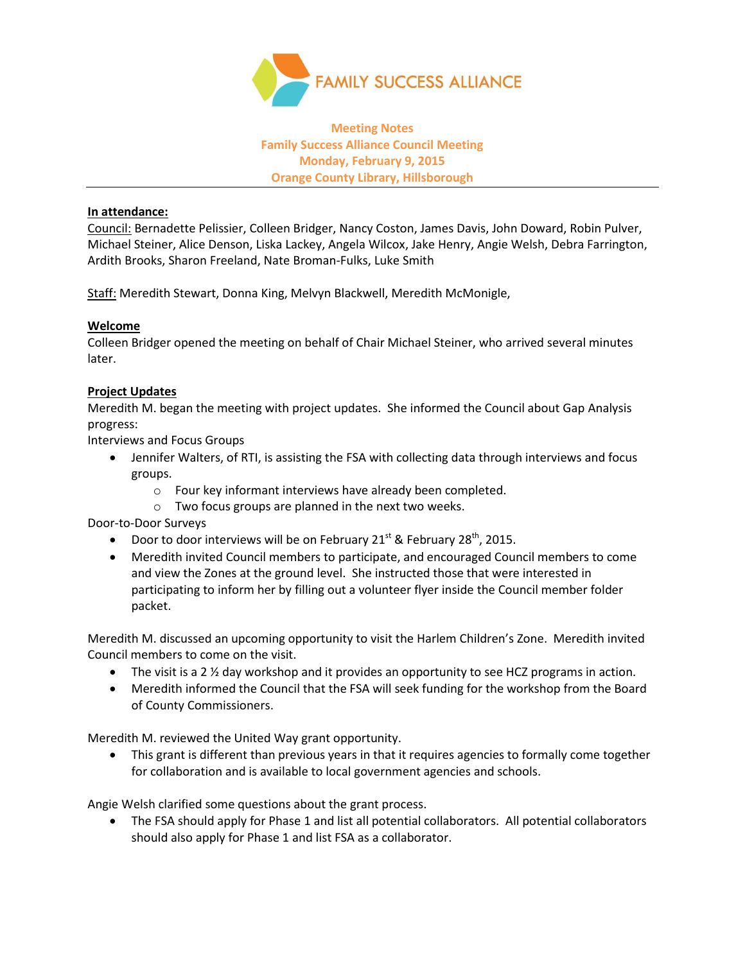

# **Meeting Notes Family Success Alliance Council Meeting Monday, February 9, 2015 Orange County Library, Hillsborough**

### **In attendance:**

Council: Bernadette Pelissier, Colleen Bridger, Nancy Coston, James Davis, John Doward, Robin Pulver, Michael Steiner, Alice Denson, Liska Lackey, Angela Wilcox, Jake Henry, Angie Welsh, Debra Farrington, Ardith Brooks, Sharon Freeland, Nate Broman-Fulks, Luke Smith

Staff: Meredith Stewart, Donna King, Melvyn Blackwell, Meredith McMonigle,

#### **Welcome**

Colleen Bridger opened the meeting on behalf of Chair Michael Steiner, who arrived several minutes later.

## **Project Updates**

Meredith M. began the meeting with project updates. She informed the Council about Gap Analysis progress:

Interviews and Focus Groups

- Jennifer Walters, of RTI, is assisting the FSA with collecting data through interviews and focus groups.
	- o Four key informant interviews have already been completed.
	- o Two focus groups are planned in the next two weeks.

Door-to-Door Surveys

- Door to door interviews will be on February 21<sup>st</sup> & February 28<sup>th</sup>, 2015.
- Meredith invited Council members to participate, and encouraged Council members to come and view the Zones at the ground level. She instructed those that were interested in participating to inform her by filling out a volunteer flyer inside the Council member folder packet.

Meredith M. discussed an upcoming opportunity to visit the Harlem Children's Zone. Meredith invited Council members to come on the visit.

- The visit is a 2 <sup>1/2</sup> day workshop and it provides an opportunity to see HCZ programs in action.
- Meredith informed the Council that the FSA will seek funding for the workshop from the Board of County Commissioners.

Meredith M. reviewed the United Way grant opportunity.

 This grant is different than previous years in that it requires agencies to formally come together for collaboration and is available to local government agencies and schools.

Angie Welsh clarified some questions about the grant process.

• The FSA should apply for Phase 1 and list all potential collaborators. All potential collaborators should also apply for Phase 1 and list FSA as a collaborator.